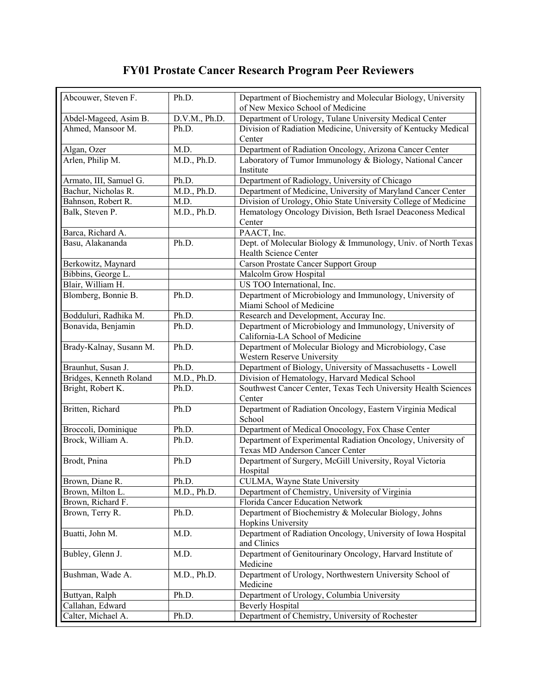## **FY01 Prostate Cancer Research Program Peer Reviewers**

| Abcouwer, Steven F.     | Ph.D.                    | Department of Biochemistry and Molecular Biology, University                                 |
|-------------------------|--------------------------|----------------------------------------------------------------------------------------------|
|                         |                          | of New Mexico School of Medicine                                                             |
| Abdel-Mageed, Asim B.   | D.V.M., Ph.D.            | Department of Urology, Tulane University Medical Center                                      |
| Ahmed, Mansoor M.       | Ph.D.                    | Division of Radiation Medicine, University of Kentucky Medical                               |
|                         |                          | Center                                                                                       |
| Algan, Ozer             | M.D.                     | Department of Radiation Oncology, Arizona Cancer Center                                      |
| Arlen, Philip M.        | M.D., Ph.D.              | Laboratory of Tumor Immunology & Biology, National Cancer                                    |
|                         |                          | Institute                                                                                    |
| Armato, III, Samuel G.  | Ph.D.                    | Department of Radiology, University of Chicago                                               |
| Bachur, Nicholas R.     | M.D., Ph.D.              | Department of Medicine, University of Maryland Cancer Center                                 |
| Bahnson, Robert R.      | M.D.                     | Division of Urology, Ohio State University College of Medicine                               |
| Balk, Steven P.         | M.D., Ph.D.              | Hematology Oncology Division, Beth Israel Deaconess Medical                                  |
|                         |                          | Center                                                                                       |
| Barca, Richard A.       |                          | PAACT, Inc.                                                                                  |
| Basu, Alakananda        | Ph.D.                    | Dept. of Molecular Biology & Immunology, Univ. of North Texas                                |
|                         |                          | Health Science Center                                                                        |
| Berkowitz, Maynard      |                          | <b>Carson Prostate Cancer Support Group</b>                                                  |
| Bibbins, George L.      |                          | Malcolm Grow Hospital                                                                        |
| Blair, William H.       |                          | US TOO International, Inc.                                                                   |
| Blomberg, Bonnie B.     | Ph.D.                    | Department of Microbiology and Immunology, University of                                     |
|                         |                          | Miami School of Medicine                                                                     |
| Bodduluri, Radhika M.   | Ph.D.                    | Research and Development, Accuray Inc.                                                       |
| Bonavida, Benjamin      | Ph.D.                    | Department of Microbiology and Immunology, University of<br>California-LA School of Medicine |
| Brady-Kalnay, Susann M. | Ph.D.                    | Department of Molecular Biology and Microbiology, Case                                       |
|                         |                          | Western Reserve University                                                                   |
| Braunhut, Susan J.      | Ph.D.                    | Department of Biology, University of Massachusetts - Lowell                                  |
| Bridges, Kenneth Roland | $M.D., \overline{Ph.D.}$ | Division of Hematology, Harvard Medical School                                               |
| Bright, Robert K.       | Ph.D.                    | Southwest Cancer Center, Texas Tech University Health Sciences                               |
|                         |                          | Center                                                                                       |
| Britten, Richard        | Ph.D                     | Department of Radiation Oncology, Eastern Virginia Medical                                   |
|                         |                          | School                                                                                       |
| Broccoli, Dominique     | Ph.D.                    | Department of Medical Onocology, Fox Chase Center                                            |
| Brock, William A.       | Ph.D.                    | Department of Experimental Radiation Oncology, University of                                 |
|                         |                          | Texas MD Anderson Cancer Center                                                              |
| Brodt, Pnina            | Ph.D                     | Department of Surgery, McGill University, Royal Victoria                                     |
|                         |                          | Hospital                                                                                     |
| Brown, Diane R.         | Ph.D.                    | CULMA, Wayne State University                                                                |
| Brown, Milton L.        | M.D., Ph.D.              | Department of Chemistry, University of Virginia                                              |
| Brown, Richard F.       |                          | Florida Cancer Education Network                                                             |
| Brown, Terry R.         | Ph.D.                    | Department of Biochemistry & Molecular Biology, Johns                                        |
|                         |                          | Hopkins University                                                                           |
| Buatti, John M.         | M.D.                     | Department of Radiation Oncology, University of Iowa Hospital                                |
|                         |                          | and Clinics                                                                                  |
| Bubley, Glenn J.        | M.D.                     | Department of Genitourinary Oncology, Harvard Institute of<br>Medicine                       |
| Bushman, Wade A.        | M.D., Ph.D.              | Department of Urology, Northwestern University School of                                     |
|                         |                          | Medicine                                                                                     |
| Buttyan, Ralph          | Ph.D.                    | Department of Urology, Columbia University                                                   |
| Callahan, Edward        |                          | <b>Beverly Hospital</b>                                                                      |
| Calter, Michael A.      | Ph.D.                    | Department of Chemistry, University of Rochester                                             |
|                         |                          |                                                                                              |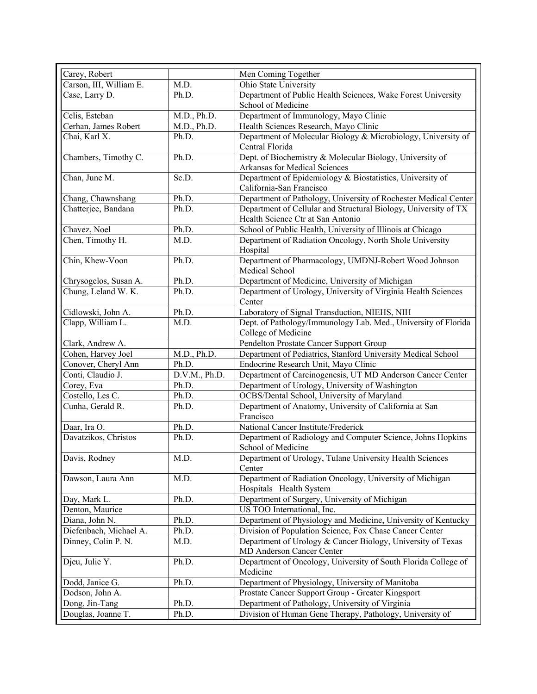| Carey, Robert           |                          | Men Coming Together                                                 |
|-------------------------|--------------------------|---------------------------------------------------------------------|
| Carson, III, William E. | M.D.                     | Ohio State University                                               |
| Case, Larry D.          | Ph.D.                    | Department of Public Health Sciences, Wake Forest University        |
|                         |                          | School of Medicine                                                  |
| Celis, Esteban          | $M.D., \overline{Ph.D.}$ | Department of Immunology, Mayo Clinic                               |
| Cerhan, James Robert    | $M.D., \overline{Ph.D.}$ | Health Sciences Research, Mayo Clinic                               |
| Chai, Karl X.           | Ph.D.                    | Department of Molecular Biology & Microbiology, University of       |
|                         |                          | Central Florida                                                     |
| Chambers, Timothy C.    | Ph.D.                    | Dept. of Biochemistry & Molecular Biology, University of            |
|                         |                          | Arkansas for Medical Sciences                                       |
| Chan, June M.           | Sc.D.                    | Department of Epidemiology & Biostatistics, University of           |
|                         |                          | California-San Francisco                                            |
| Chang, Chawnshang       | Ph.D.                    | Department of Pathology, University of Rochester Medical Center     |
| Chatterjee, Bandana     | Ph.D.                    | Department of Cellular and Structural Biology, University of TX     |
|                         |                          | Health Science Ctr at San Antonio                                   |
| Chavez, Noel            | Ph.D.                    | School of Public Health, University of Illinois at Chicago          |
| Chen, Timothy H.        | M.D.                     | Department of Radiation Oncology, North Shole University            |
|                         |                          | Hospital                                                            |
| Chin, Khew-Voon         | Ph.D.                    | Department of Pharmacology, UMDNJ-Robert Wood Johnson               |
|                         |                          | Medical School                                                      |
| Chrysogelos, Susan A.   | Ph.D.                    | Department of Medicine, University of Michigan                      |
| Chung, Leland W. K.     | Ph.D.                    | Department of Urology, University of Virginia Health Sciences       |
|                         |                          | Center                                                              |
| Cidlowski, John A.      | Ph.D.                    | Laboratory of Signal Transduction, NIEHS, NIH                       |
| Clapp, William L.       | M.D.                     | Dept. of Pathology/Immunology Lab. Med., University of Florida      |
|                         |                          | College of Medicine                                                 |
| Clark, Andrew A.        |                          | Pendelton Prostate Cancer Support Group                             |
| Cohen, Harvey Joel      | M.D., Ph.D.              | Department of Pediatrics, Stanford University Medical School        |
| Conover, Cheryl Ann     | Ph.D.                    | Endocrine Research Unit, Mayo Clinic                                |
| Conti, Claudio J.       | D.V.M., Ph.D.            | Department of Carcinogenesis, UT MD Anderson Cancer Center          |
| Corey, Eva              | Ph.D.                    | Department of Urology, University of Washington                     |
| Costello, Les C.        | Ph.D.                    | OCBS/Dental School, University of Maryland                          |
| Cunha, Gerald R.        | Ph.D.                    | Department of Anatomy, University of California at San<br>Francisco |
| Daar, Ira O.            | Ph.D.                    | National Cancer Institute/Frederick                                 |
| Davatzikos, Christos    | Ph.D.                    | Department of Radiology and Computer Science, Johns Hopkins         |
|                         |                          | School of Medicine                                                  |
| Davis, Rodney           | M.D.                     | Department of Urology, Tulane University Health Sciences            |
|                         |                          | Center                                                              |
| Dawson, Laura Ann       | M.D.                     | Department of Radiation Oncology, University of Michigan            |
|                         |                          | Hospitals Health System                                             |
| Day, Mark L.            | Ph.D.                    | Department of Surgery, University of Michigan                       |
| Denton, Maurice         |                          | US TOO International, Inc.                                          |
| Diana, John N.          | Ph.D.                    | Department of Physiology and Medicine, University of Kentucky       |
| Diefenbach, Michael A.  | Ph.D.                    | Division of Population Science, Fox Chase Cancer Center             |
| Dinney, Colin P. N.     | M.D.                     | Department of Urology & Cancer Biology, University of Texas         |
|                         |                          | MD Anderson Cancer Center                                           |
| Djeu, Julie Y.          | Ph.D.                    | Department of Oncology, University of South Florida College of      |
|                         |                          | Medicine                                                            |
| Dodd, Janice G.         | Ph.D.                    | Department of Physiology, University of Manitoba                    |
| Dodson, John A.         |                          | Prostate Cancer Support Group - Greater Kingsport                   |
| Dong, Jin-Tang          | Ph.D.                    | Department of Pathology, University of Virginia                     |
| Douglas, Joanne T.      | Ph.D.                    | Division of Human Gene Therapy, Pathology, University of            |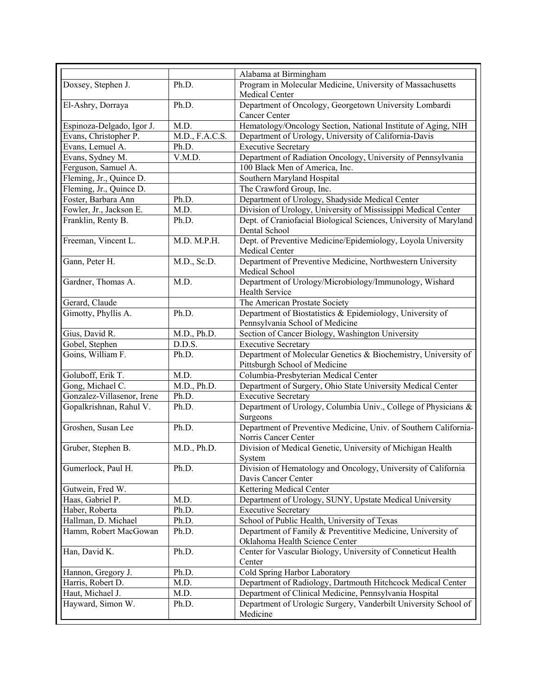|                            |                          | Alabama at Birmingham                                                                           |
|----------------------------|--------------------------|-------------------------------------------------------------------------------------------------|
| Doxsey, Stephen J.         | Ph.D.                    | Program in Molecular Medicine, University of Massachusetts                                      |
|                            |                          | Medical Center                                                                                  |
| El-Ashry, Dorraya          | Ph.D.                    | Department of Oncology, Georgetown University Lombardi                                          |
|                            |                          | Cancer Center                                                                                   |
| Espinoza-Delgado, Igor J.  | M.D.                     | Hematology/Oncology Section, National Institute of Aging, NIH                                   |
| Evans, Christopher P.      | M.D., F.A.C.S.           | Department of Urology, University of California-Davis                                           |
| Evans, Lemuel A.           | Ph.D.                    | <b>Executive Secretary</b>                                                                      |
| Evans, Sydney M.           | V.M.D.                   | Department of Radiation Oncology, University of Pennsylvania                                    |
| Ferguson, Samuel A.        |                          | 100 Black Men of America, Inc.                                                                  |
| Fleming, Jr., Quince D.    |                          | Southern Maryland Hospital                                                                      |
| Fleming, Jr., Quince D.    |                          | The Crawford Group, Inc.                                                                        |
| Foster, Barbara Ann        | Ph.D.                    | Department of Urology, Shadyside Medical Center                                                 |
| Fowler, Jr., Jackson E.    | M.D.                     | Division of Urology, University of Mississippi Medical Center                                   |
|                            | Ph.D.                    |                                                                                                 |
| Franklin, Renty B.         |                          | Dept. of Craniofacial Biological Sciences, University of Maryland<br>Dental School              |
| Freeman, Vincent L.        | M.D. M.P.H.              | Dept. of Preventive Medicine/Epidemiology, Loyola University                                    |
|                            |                          | Medical Center                                                                                  |
| Gann, Peter H.             | M.D., Sc.D.              | Department of Preventive Medicine, Northwestern University<br>Medical School                    |
| Gardner, Thomas A.         | M.D.                     | Department of Urology/Microbiology/Immunology, Wishard                                          |
|                            |                          | <b>Health Service</b>                                                                           |
| Gerard, Claude             |                          | The American Prostate Society                                                                   |
| Gimotty, Phyllis A.        | Ph.D.                    | Department of Biostatistics & Epidemiology, University of                                       |
|                            |                          | Pennsylvania School of Medicine                                                                 |
| Gius, David R.             | M.D., Ph.D.              | Section of Cancer Biology, Washington University                                                |
| Gobel, Stephen             | D.D.S.                   | <b>Executive Secretary</b>                                                                      |
| Goins, William F.          | Ph.D.                    | Department of Molecular Genetics & Biochemistry, University of<br>Pittsburgh School of Medicine |
| Goluboff, Erik T.          | M.D.                     | Columbia-Presbyterian Medical Center                                                            |
| Gong, Michael C.           | $M.D., \overline{Ph.D.}$ | Department of Surgery, Ohio State University Medical Center                                     |
| Gonzalez-Villasenor, Irene | Ph.D.                    | <b>Executive Secretary</b>                                                                      |
| Gopalkrishnan, Rahul V.    | Ph.D.                    | Department of Urology, Columbia Univ., College of Physicians &                                  |
|                            |                          | Surgeons                                                                                        |
| Groshen, Susan Lee         | Ph.D.                    | Department of Preventive Medicine, Univ. of Southern California-                                |
|                            |                          | Norris Cancer Center                                                                            |
| Gruber, Stephen B.         | M.D., Ph.D.              | Division of Medical Genetic, University of Michigan Health                                      |
|                            |                          | System                                                                                          |
| Gumerlock, Paul H.         | Ph.D.                    | Division of Hematology and Oncology, University of California                                   |
|                            |                          | Davis Cancer Center                                                                             |
| Gutwein, Fred W.           |                          | Kettering Medical Center                                                                        |
| Haas, Gabriel P.           | M.D.                     | Department of Urology, SUNY, Upstate Medical University                                         |
| Haber, Roberta             | Ph.D.                    | <b>Executive Secretary</b>                                                                      |
| Hallman, D. Michael        | Ph.D.                    | School of Public Health, University of Texas                                                    |
| Hamm, Robert MacGowan      | Ph.D.                    | Department of Family & Preventitive Medicine, University of                                     |
|                            |                          | Oklahoma Health Science Center                                                                  |
| Han, David K.              | Ph.D.                    | Center for Vascular Biology, University of Conneticut Health                                    |
|                            |                          | Center                                                                                          |
| Hannon, Gregory J.         | Ph.D.                    | Cold Spring Harbor Laboratory                                                                   |
| Harris, Robert D.          | M.D.                     | Department of Radiology, Dartmouth Hitchcock Medical Center                                     |
| Haut, Michael J.           | M.D.                     | Department of Clinical Medicine, Pennsylvania Hospital                                          |
| Hayward, Simon W.          | Ph.D.                    | Department of Urologic Surgery, Vanderbilt University School of                                 |
|                            |                          | Medicine                                                                                        |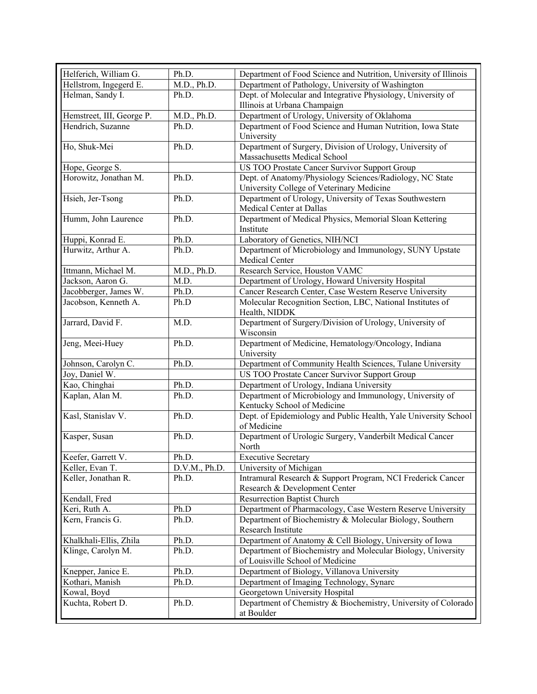| Helferich, William G.     | Ph.D.         | Department of Food Science and Nutrition, University of Illinois |
|---------------------------|---------------|------------------------------------------------------------------|
| Hellstrom, Ingegerd E.    | M.D., Ph.D.   | Department of Pathology, University of Washington                |
| Helman, Sandy I.          | Ph.D.         | Dept. of Molecular and Integrative Physiology, University of     |
|                           |               | Illinois at Urbana Champaign                                     |
| Hemstreet, III, George P. | M.D., Ph.D.   | Department of Urology, University of Oklahoma                    |
| Hendrich, Suzanne         | Ph.D.         | Department of Food Science and Human Nutrition, Iowa State       |
|                           |               | University                                                       |
| Ho, Shuk-Mei              | Ph.D.         | Department of Surgery, Division of Urology, University of        |
|                           |               | Massachusetts Medical School                                     |
| Hope, George S.           |               | US TOO Prostate Cancer Survivor Support Group                    |
| Horowitz, Jonathan M.     | Ph.D.         | Dept. of Anatomy/Physiology Sciences/Radiology, NC State         |
|                           |               | University College of Veterinary Medicine                        |
| Hsieh, Jer-Tsong          | Ph.D.         | Department of Urology, University of Texas Southwestern          |
|                           |               | Medical Center at Dallas                                         |
| Humm, John Laurence       | Ph.D.         | Department of Medical Physics, Memorial Sloan Kettering          |
|                           |               | Institute                                                        |
| Huppi, Konrad E.          | Ph.D.         | Laboratory of Genetics, NIH/NCI                                  |
| Hurwitz, Arthur A.        | Ph.D.         | Department of Microbiology and Immunology, SUNY Upstate          |
|                           |               | Medical Center                                                   |
| Ittmann, Michael M.       | M.D., Ph.D.   | Research Service, Houston VAMC                                   |
| Jackson, Aaron G.         | M.D.          | Department of Urology, Howard University Hospital                |
| Jacobberger, James W.     | Ph.D.         | Cancer Research Center, Case Western Reserve University          |
| Jacobson, Kenneth A.      | Ph.D          | Molecular Recognition Section, LBC, National Institutes of       |
|                           |               | Health, NIDDK                                                    |
| Jarrard, David F.         | M.D.          | Department of Surgery/Division of Urology, University of         |
|                           |               | Wisconsin                                                        |
| Jeng, Meei-Huey           | Ph.D.         | Department of Medicine, Hematology/Oncology, Indiana             |
|                           |               | University                                                       |
| Johnson, Carolyn C.       | Ph.D.         | Department of Community Health Sciences, Tulane University       |
| Joy, Daniel W.            |               | US TOO Prostate Cancer Survivor Support Group                    |
| Kao, Chinghai             | Ph.D.         | Department of Urology, Indiana University                        |
| Kaplan, Alan M.           | Ph.D.         | Department of Microbiology and Immunology, University of         |
|                           |               | Kentucky School of Medicine                                      |
| Kasl, Stanislav V.        | Ph.D.         | Dept. of Epidemiology and Public Health, Yale University School  |
|                           |               | of Medicine                                                      |
| Kasper, Susan             | Ph.D.         | Department of Urologic Surgery, Vanderbilt Medical Cancer        |
|                           |               | North                                                            |
| Keefer, Garrett V.        | Ph.D.         | <b>Executive Secretary</b>                                       |
| Keller, Evan T.           | D.V.M., Ph.D. | University of Michigan                                           |
| Keller, Jonathan R.       | Ph.D.         | Intramural Research & Support Program, NCI Frederick Cancer      |
|                           |               | Research & Development Center                                    |
| Kendall, Fred             |               | <b>Resurrection Baptist Church</b>                               |
| Keri, Ruth A.             | Ph.D          | Department of Pharmacology, Case Western Reserve University      |
| Kern, Francis G.          | Ph.D.         | Department of Biochemistry & Molecular Biology, Southern         |
|                           |               | Research Institute                                               |
| Khalkhali-Ellis, Zhila    | Ph.D.         | Department of Anatomy & Cell Biology, University of Iowa         |
| Klinge, Carolyn M.        | Ph.D.         | Department of Biochemistry and Molecular Biology, University     |
|                           |               | of Louisville School of Medicine                                 |
| Knepper, Janice E.        | Ph.D.         | Department of Biology, Villanova University                      |
| Kothari, Manish           | Ph.D.         | Department of Imaging Technology, Synarc                         |
| Kowal, Boyd               |               | Georgetown University Hospital                                   |
| Kuchta, Robert D.         | Ph.D.         | Department of Chemistry & Biochemistry, University of Colorado   |
|                           |               | at Boulder                                                       |
|                           |               |                                                                  |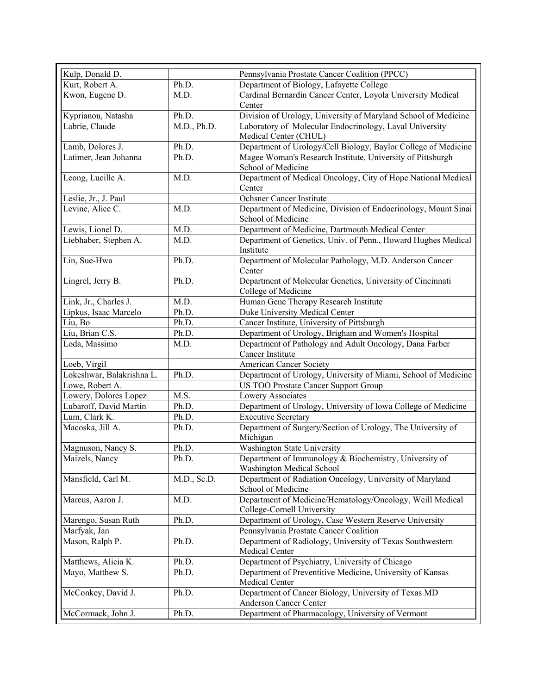| Kulp, Donald D.                                |               | Pennsylvania Prostate Cancer Coalition (PPCC)                                                |
|------------------------------------------------|---------------|----------------------------------------------------------------------------------------------|
| Kurt, Robert A.                                | Ph.D.         | Department of Biology, Lafayette College                                                     |
| Kwon, Eugene D.                                | M.D.          | Cardinal Bernardin Cancer Center, Loyola University Medical                                  |
|                                                |               | Center                                                                                       |
| Kyprianou, Natasha                             | Ph.D.         | Division of Urology, University of Maryland School of Medicine                               |
| Labrie, Claude                                 | M.D., Ph.D.   | Laboratory of Molecular Endocrinology, Laval University                                      |
|                                                |               | Medical Center (CHUL)                                                                        |
| Lamb, Dolores J.                               | Ph.D.         | Department of Urology/Cell Biology, Baylor College of Medicine                               |
| Latimer, Jean Johanna                          | Ph.D.         | Magee Woman's Research Institute, University of Pittsburgh<br>School of Medicine             |
| Leong, Lucille A.                              | M.D.          | Department of Medical Oncology, City of Hope National Medical                                |
|                                                |               | Center                                                                                       |
| Leslie, Jr., J. Paul                           |               | Ochsner Cancer Institute                                                                     |
| Levine, Alice C.                               | M.D.          | Department of Medicine, Division of Endocrinology, Mount Sinai                               |
|                                                |               | School of Medicine                                                                           |
| Lewis, Lionel D.                               | M.D.          | Department of Medicine, Dartmouth Medical Center                                             |
| Liebhaber, Stephen A.                          | M.D.          | Department of Genetics, Univ. of Penn., Howard Hughes Medical                                |
|                                                |               | Institute                                                                                    |
| Lin, Sue-Hwa                                   | Ph.D.         | Department of Molecular Pathology, M.D. Anderson Cancer                                      |
|                                                |               | Center                                                                                       |
| Lingrel, Jerry B.                              | Ph.D.         | Department of Molecular Genetics, University of Cincinnati                                   |
|                                                |               | College of Medicine                                                                          |
| Link, Jr., Charles J.<br>Lipkus, Isaac Marcelo | M.D.<br>Ph.D. | Human Gene Therapy Research Institute<br>Duke University Medical Center                      |
| Liu, Bo                                        | Ph.D.         | Cancer Institute, University of Pittsburgh                                                   |
| Liu, Brian C.S.                                | Ph.D.         | Department of Urology, Brigham and Women's Hospital                                          |
| Loda, Massimo                                  | M.D.          | Department of Pathology and Adult Oncology, Dana Farber                                      |
|                                                |               | Cancer Institute                                                                             |
| Loeb, Virgil                                   |               | <b>American Cancer Society</b>                                                               |
| Lokeshwar, Balakrishna L.                      | Ph.D.         | Department of Urology, University of Miami, School of Medicine                               |
| Lowe, Robert A.                                |               | US TOO Prostate Cancer Support Group                                                         |
| Lowery, Dolores Lopez                          | M.S.          | Lowery Associates                                                                            |
| Lubaroff, David Martin                         | Ph.D.         | Department of Urology, University of Iowa College of Medicine                                |
| Lum, Clark K.                                  | Ph.D.         | <b>Executive Secretary</b>                                                                   |
| Macoska, Jill A.                               | Ph.D.         | Department of Surgery/Section of Urology, The University of                                  |
|                                                |               | Michigan                                                                                     |
| Magnuson, Nancy S.                             | Ph.D.         | Washington State University                                                                  |
| Maizels, Nancy                                 | Ph.D.         | Department of Immunology & Biochemistry, University of                                       |
| Mansfield, Carl M.                             | M.D., Sc.D.   | <b>Washington Medical School</b><br>Department of Radiation Oncology, University of Maryland |
|                                                |               | School of Medicine                                                                           |
| Marcus, Aaron J.                               | M.D.          | Department of Medicine/Hematology/Oncology, Weill Medical                                    |
|                                                |               | College-Cornell University                                                                   |
| Marengo, Susan Ruth                            | Ph.D.         | Department of Urology, Case Western Reserve University                                       |
| Marfyak, Jan                                   |               | Pennsylvania Prostate Cancer Coalition                                                       |
| Mason, Ralph P.                                | Ph.D.         | Department of Radiology, University of Texas Southwestern                                    |
|                                                |               | Medical Center                                                                               |
| Matthews, Alicia K.                            | Ph.D.         | Department of Psychiatry, University of Chicago                                              |
| Mayo, Matthew S.                               | Ph.D.         | Department of Preventitive Medicine, University of Kansas                                    |
|                                                |               | Medical Center                                                                               |
| McConkey, David J.                             | Ph.D.         | Department of Cancer Biology, University of Texas MD                                         |
|                                                |               | Anderson Cancer Center                                                                       |
| McCormack, John J.                             | Ph.D.         | Department of Pharmacology, University of Vermont                                            |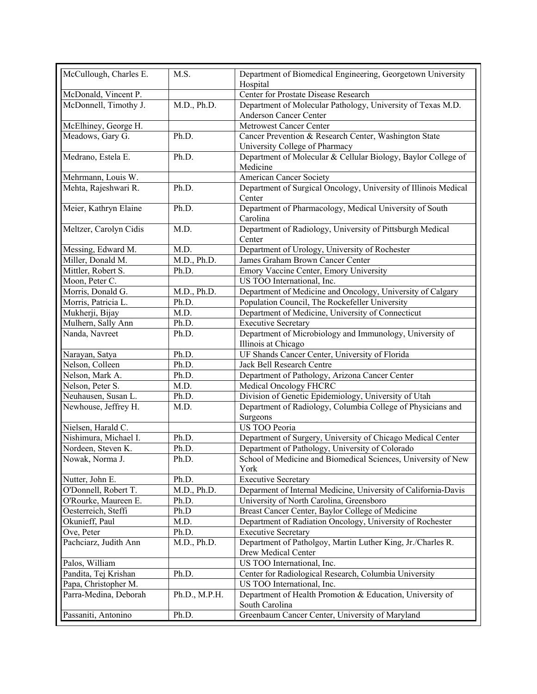| McCullough, Charles E. | M.S.                | Department of Biomedical Engineering, Georgetown University<br>Hospital |
|------------------------|---------------------|-------------------------------------------------------------------------|
| McDonald, Vincent P.   |                     | Center for Prostate Disease Research                                    |
| McDonnell, Timothy J.  | M.D., Ph.D.         | Department of Molecular Pathology, University of Texas M.D.             |
|                        |                     | Anderson Cancer Center                                                  |
| McElhiney, George H.   |                     | Metrowest Cancer Center                                                 |
| Meadows, Gary G.       | Ph.D.               | Cancer Prevention & Research Center, Washington State                   |
|                        |                     | University College of Pharmacy                                          |
| Medrano, Estela E.     | Ph.D.               | Department of Molecular & Cellular Biology, Baylor College of           |
|                        |                     | Medicine                                                                |
| Mehrmann, Louis W.     |                     | <b>American Cancer Society</b>                                          |
| Mehta, Rajeshwari R.   | Ph.D.               | Department of Surgical Oncology, University of Illinois Medical         |
|                        |                     | Center                                                                  |
| Meier, Kathryn Elaine  | Ph.D.               | Department of Pharmacology, Medical University of South                 |
|                        |                     | Carolina                                                                |
| Meltzer, Carolyn Cidis | M.D.                | Department of Radiology, University of Pittsburgh Medical               |
|                        |                     | Center                                                                  |
| Messing, Edward M.     | M.D.                | Department of Urology, University of Rochester                          |
| Miller, Donald M.      | M.D., Ph.D.         | James Graham Brown Cancer Center                                        |
| Mittler, Robert S.     | Ph.D.               | Emory Vaccine Center, Emory University                                  |
| Moon, Peter C.         |                     | US TOO International, Inc.                                              |
| Morris, Donald G.      | M.D., Ph.D.         | Department of Medicine and Oncology, University of Calgary              |
| Morris, Patricia L.    | Ph.D.               | Population Council, The Rockefeller University                          |
| Mukherji, Bijay        | M.D.                | Department of Medicine, University of Connecticut                       |
| Mulhern, Sally Ann     | Ph.D.               | <b>Executive Secretary</b>                                              |
| Nanda, Navreet         | Ph.D.               | Department of Microbiology and Immunology, University of                |
|                        |                     | Illinois at Chicago                                                     |
| Narayan, Satya         | Ph.D.               | UF Shands Cancer Center, University of Florida                          |
| Nelson, Colleen        | Ph.D.               | Jack Bell Research Centre                                               |
| Nelson, Mark A.        | Ph.D.               | Department of Pathology, Arizona Cancer Center                          |
| Nelson, Peter S.       | M.D.                | <b>Medical Oncology FHCRC</b>                                           |
| Neuhausen, Susan L.    | Ph.D.               | Division of Genetic Epidemiology, University of Utah                    |
| Newhouse, Jeffrey H.   | M.D.                | Department of Radiology, Columbia College of Physicians and             |
|                        |                     | Surgeons                                                                |
| Nielsen, Harald C.     |                     | US TOO Peoria                                                           |
| Nishimura, Michael I.  | Ph.D.               | Department of Surgery, University of Chicago Medical Center             |
| Nordeen, Steven K.     | Ph.D.               | Department of Pathology, University of Colorado                         |
| Nowak, Norma J.        | $\overline{Ph}$ .D. | School of Medicine and Biomedical Sciences, University of New           |
|                        |                     | York                                                                    |
| Nutter, John E.        | Ph.D.               | <b>Executive Secretary</b>                                              |
| O'Donnell, Robert T.   | M.D., Ph.D.         | Deparment of Internal Medicine, University of California-Davis          |
| O'Rourke, Maureen E.   | Ph.D.               | University of North Carolina, Greensboro                                |
| Oesterreich, Steffi    | Ph.D                | Breast Cancer Center, Baylor College of Medicine                        |
| Okunieff, Paul         | M.D.                | Department of Radiation Oncology, University of Rochester               |
| Ove, Peter             | Ph.D.               | <b>Executive Secretary</b>                                              |
| Pachciarz, Judith Ann  | M.D., Ph.D.         | Department of Patholgoy, Martin Luther King, Jr./Charles R.             |
|                        |                     | Drew Medical Center                                                     |
| Palos, William         |                     | US TOO International, Inc.                                              |
| Pandita, Tej Krishan   | Ph.D.               | Center for Radiological Research, Columbia University                   |
| Papa, Christopher M.   |                     | US TOO International, Inc.                                              |
| Parra-Medina, Deborah  | Ph.D., M.P.H.       | Department of Health Promotion & Education, University of               |
|                        |                     | South Carolina                                                          |
| Passaniti, Antonino    | Ph.D.               | Greenbaum Cancer Center, University of Maryland                         |
|                        |                     |                                                                         |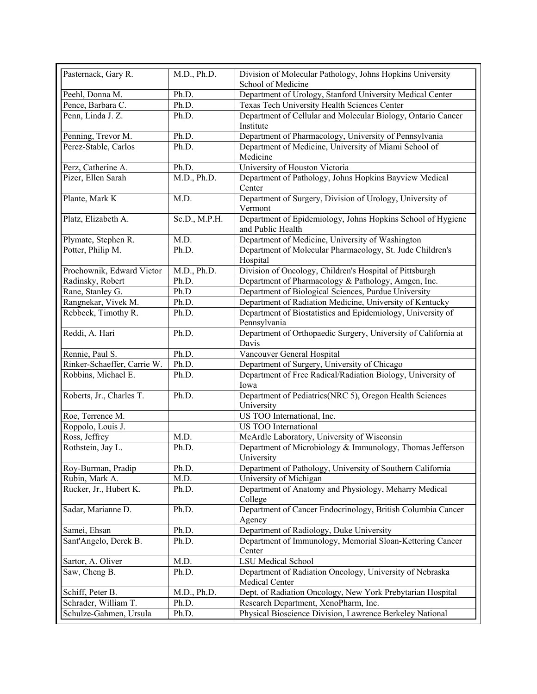| Pasternack, Gary R.         | M.D., Ph.D.   | Division of Molecular Pathology, Johns Hopkins University                        |
|-----------------------------|---------------|----------------------------------------------------------------------------------|
|                             |               | School of Medicine                                                               |
| Peehl, Donna M.             | Ph.D.         | Department of Urology, Stanford University Medical Center                        |
| Pence, Barbara C.           | Ph.D.         | Texas Tech University Health Sciences Center                                     |
| Penn, Linda J. Z.           | Ph.D.         | Department of Cellular and Molecular Biology, Ontario Cancer<br>Institute        |
| Penning, Trevor M.          | Ph.D.         | Department of Pharmacology, University of Pennsylvania                           |
| Perez-Stable, Carlos        | Ph.D.         | Department of Medicine, University of Miami School of                            |
|                             |               | Medicine                                                                         |
| Perz, Catherine A.          | Ph.D.         | University of Houston Victoria                                                   |
| Pizer, Ellen Sarah          | M.D., Ph.D.   | Department of Pathology, Johns Hopkins Bayview Medical<br>Center                 |
|                             |               |                                                                                  |
| Plante, Mark K              | M.D.          | Department of Surgery, Division of Urology, University of<br>Vermont             |
| Platz, Elizabeth A.         | Sc.D., M.P.H. | Department of Epidemiology, Johns Hopkins School of Hygiene<br>and Public Health |
| Plymate, Stephen R.         | M.D.          | Department of Medicine, University of Washington                                 |
| Potter, Philip M.           | Ph.D.         | Department of Molecular Pharmacology, St. Jude Children's                        |
|                             |               | Hospital                                                                         |
| Prochownik, Edward Victor   | M.D., Ph.D.   | Division of Oncology, Children's Hospital of Pittsburgh                          |
| Radinsky, Robert            | Ph.D.         | Department of Pharmacology & Pathology, Amgen, Inc.                              |
| Rane, Stanley G.            | Ph.D          | Department of Biological Sciences, Purdue University                             |
| Rangnekar, Vivek M.         | Ph.D.         | Department of Radiation Medicine, University of Kentucky                         |
| Rebbeck, Timothy R.         | Ph.D.         | Department of Biostatistics and Epidemiology, University of                      |
|                             |               | Pennsylvania                                                                     |
| Reddi, A. Hari              | Ph.D.         | Department of Orthopaedic Surgery, University of California at                   |
|                             |               | Davis                                                                            |
| Rennie, Paul S.             | Ph.D.         | Vancouver General Hospital                                                       |
| Rinker-Schaeffer, Carrie W. | Ph.D.         | Department of Surgery, University of Chicago                                     |
| Robbins, Michael E.         | Ph.D.         | Department of Free Radical/Radiation Biology, University of                      |
|                             |               | Iowa                                                                             |
| Roberts, Jr., Charles T.    | Ph.D.         | Department of Pediatrics(NRC 5), Oregon Health Sciences                          |
|                             |               | University                                                                       |
| Roe, Terrence M.            |               | US TOO International, Inc.                                                       |
| Roppolo, Louis J.           |               | <b>US TOO</b> International                                                      |
| Ross, Jeffrey               | M.D.          | McArdle Laboratory, University of Wisconsin                                      |
| Rothstein, Jay L.           | Ph.D.         | Department of Microbiology & Immunology, Thomas Jefferson<br>University          |
| Roy-Burman, Pradip          | Ph.D.         | Department of Pathology, University of Southern California                       |
| Rubin, Mark A.              | M.D.          | University of Michigan                                                           |
| Rucker, Jr., Hubert K.      | Ph.D.         | Department of Anatomy and Physiology, Meharry Medical                            |
|                             |               | College                                                                          |
| Sadar, Marianne D.          | Ph.D.         | Department of Cancer Endocrinology, British Columbia Cancer                      |
|                             |               | Agency                                                                           |
| Samei, Ehsan                | Ph.D.         | Department of Radiology, Duke University                                         |
| Sant'Angelo, Derek B.       | Ph.D.         | Department of Immunology, Memorial Sloan-Kettering Cancer                        |
| Sartor, A. Oliver           | M.D.          | Center<br><b>LSU Medical School</b>                                              |
| Saw, Cheng B.               | Ph.D.         | Department of Radiation Oncology, University of Nebraska                         |
|                             |               | Medical Center                                                                   |
| Schiff, Peter B.            | M.D., Ph.D.   | Dept. of Radiation Oncology, New York Prebytarian Hospital                       |
| Schrader, William T.        | Ph.D.         | Research Department, XenoPharm, Inc.                                             |
| Schulze-Gahmen, Ursula      | Ph.D.         | Physical Bioscience Division, Lawrence Berkeley National                         |
|                             |               |                                                                                  |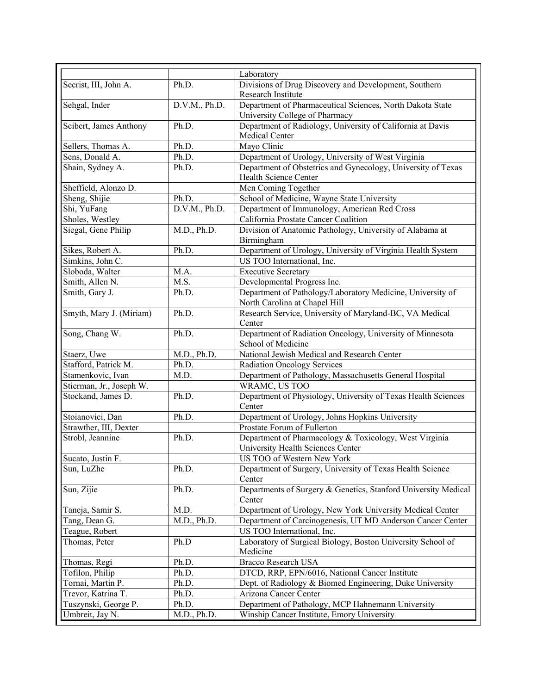|                          |               | Laboratory                                                              |
|--------------------------|---------------|-------------------------------------------------------------------------|
| Secrist, III, John A.    | Ph.D.         | Divisions of Drug Discovery and Development, Southern                   |
|                          |               | Research Institute                                                      |
| Sehgal, Inder            | D.V.M., Ph.D. | Department of Pharmaceutical Sciences, North Dakota State               |
|                          |               | University College of Pharmacy                                          |
| Seibert, James Anthony   | Ph.D.         | Department of Radiology, University of California at Davis              |
|                          |               | Medical Center                                                          |
| Sellers, Thomas A.       | Ph.D.         | Mayo Clinic                                                             |
| Sens, Donald A.          | Ph.D.         | Department of Urology, University of West Virginia                      |
| Shain, Sydney A.         | Ph.D.         | Department of Obstetrics and Gynecology, University of Texas            |
|                          |               | Health Science Center                                                   |
| Sheffield, Alonzo D.     |               | Men Coming Together                                                     |
| Sheng, Shijie            | Ph.D.         | School of Medicine, Wayne State University                              |
| Shi, YuFang              | D.V.M., Ph.D. | Department of Immunology, American Red Cross                            |
| Sholes, Westley          |               | California Prostate Cancer Coalition                                    |
| Siegal, Gene Philip      | M.D., Ph.D.   |                                                                         |
|                          |               | Division of Anatomic Pathology, University of Alabama at<br>Birmingham  |
| Sikes, Robert A.         | Ph.D.         | Department of Urology, University of Virginia Health System             |
| Simkins, John C.         |               | US TOO International, Inc.                                              |
|                          |               |                                                                         |
| Sloboda, Walter          | M.A.          | <b>Executive Secretary</b>                                              |
| Smith, Allen N.          | M.S.          | Developmental Progress Inc.                                             |
| Smith, Gary J.           | Ph.D.         | Department of Pathology/Laboratory Medicine, University of              |
|                          |               | North Carolina at Chapel Hill                                           |
| Smyth, Mary J. (Miriam)  | Ph.D.         | Research Service, University of Maryland-BC, VA Medical                 |
|                          |               | Center                                                                  |
| Song, Chang W.           | Ph.D.         | Department of Radiation Oncology, University of Minnesota               |
|                          |               | School of Medicine                                                      |
| Staerz, Uwe              | M.D., Ph.D.   | National Jewish Medical and Research Center                             |
| Stafford, Patrick M.     | Ph.D.         | <b>Radiation Oncology Services</b>                                      |
| Stamenkovic, Ivan        | M.D.          | Department of Pathology, Massachusetts General Hospital                 |
| Stierman, Jr., Joseph W. |               | WRAMC, US TOO                                                           |
| Stockand, James D.       | Ph.D.         | Department of Physiology, University of Texas Health Sciences<br>Center |
| Stoianovici, Dan         | Ph.D.         | Department of Urology, Johns Hopkins University                         |
| Strawther, III, Dexter   |               | Prostate Forum of Fullerton                                             |
| Strobl, Jeannine         | Ph.D.         | Department of Pharmacology & Toxicology, West Virginia                  |
|                          |               |                                                                         |
| Sucato, Justin F.        |               | University Health Sciences Center<br>US TOO of Western New York         |
|                          |               | Department of Surgery, University of Texas Health Science               |
| Sun, LuZhe               | Ph.D.         |                                                                         |
|                          |               | Center                                                                  |
| Sun, Zijie               | Ph.D.         | Departments of Surgery & Genetics, Stanford University Medical          |
|                          | M.D.          | Center<br>Department of Urology, New York University Medical Center     |
| Taneja, Samir S.         |               |                                                                         |
| Tang, Dean G.            | M.D., Ph.D.   | Department of Carcinogenesis, UT MD Anderson Cancer Center              |
| Teague, Robert           |               | US TOO International, Inc.                                              |
| Thomas, Peter            | Ph.D          | Laboratory of Surgical Biology, Boston University School of<br>Medicine |
| Thomas, Regi             | Ph.D.         | <b>Bracco Research USA</b>                                              |
| Tofilon, Philip          | Ph.D.         | DTCD, RRP, EPN/6016, National Cancer Institute                          |
| Tornai, Martin P.        | Ph.D.         | Dept. of Radiology & Biomed Engineering, Duke University                |
| Trevor, Katrina T.       | Ph.D.         | Arizona Cancer Center                                                   |
| Tuszynski, George P.     | Ph.D.         | Department of Pathology, MCP Hahnemann University                       |
| Umbreit, Jay N.          | M.D., Ph.D.   | Winship Cancer Institute, Emory University                              |
|                          |               |                                                                         |